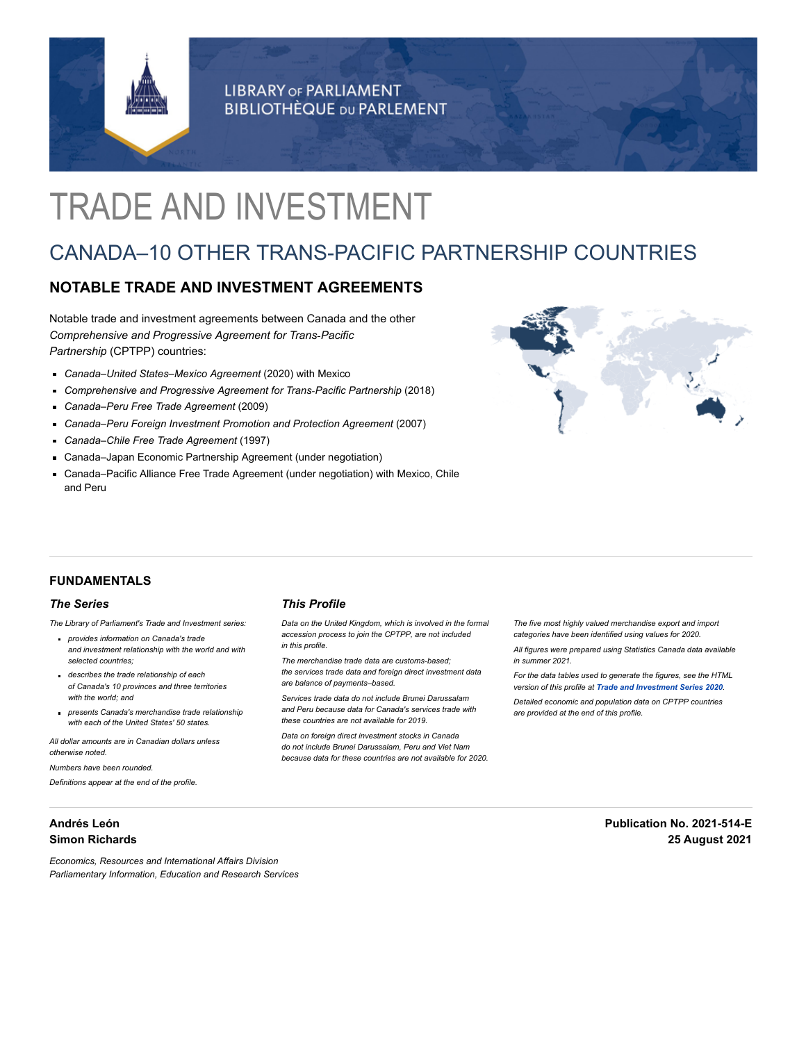

**LIBRARY OF PARLIAMENT BIBLIOTHÈQUE DU PARLEMENT** 

# TRADE AND INVESTMENT

# CANADA–10 OTHER TRANS-PACIFIC PARTNERSHIP COUNTRIES

# **NOTABLE TRADE AND INVESTMENT AGREEMENTS**

Notable trade and investment agreements between Canada and the other *Comprehensive and Progressive Agreement for Trans‑Pacific Partnership* (CPTPP) countries:

- *Canada–United States–Mexico Agreement* (2020) with Mexico
- *Comprehensive and Progressive Agreement for Trans‑Pacific Partnership* (2018)
- *Canada–Peru Free Trade Agreement* (2009)
- *Canada–Peru Foreign Investment Promotion and Protection Agreement* (2007)
- *Canada–Chile Free Trade Agreement* (1997)
- Canada–Japan Economic Partnership Agreement (under negotiation)
- Canada–Pacific Alliance Free Trade Agreement (under negotiation) with Mexico, Chile and Peru



## **FUNDAMENTALS**

#### *The Series*

*The Library of Parliament's Trade and Investment series:*

- *provides information on Canada's trade and investment relationship with the world and with selected countries;*
- *describes the trade relationship of each of Canada's 10 provinces and three territories with the world; and*
- *presents Canada's merchandise trade relationship with each of the United States' 50 states.*

*All dollar amounts are in Canadian dollars unless otherwise noted.*

*Numbers have been rounded.*

*Definitions appear at the end of the profile.*

# **Andrés León Simon Richards**

# *This Profile*

*Data on the United Kingdom, which is involved in the formal accession process to join the CPTPP, are not included in this profile.*

*The merchandise trade data are customs‑based; the services trade data and foreign direct investment data are balance of payments–based.*

*Services trade data do not include Brunei Darussalam and Peru because data for Canada's services trade with these countries are not available for 2019.*

*Data on foreign direct investment stocks in Canada do not include Brunei Darussalam, Peru and Viet Nam because data for these countries are not available for 2020.* *The five most highly valued merchandise export and import categories have been identified using values for 2020.*

*All figures were prepared using Statistics Canada data available in summer 2021.*

*For the data tables used to generate the figures, see the HTML version of this profile at Trade and [Investment Series](https://lop.parl.ca/sites/PublicWebsite/default/en_CA/ResearchPublications/TradeAndInvestment) 2020. Detailed economic and population data on CPTPP countries are provided at the end of this profile.*

> **Publication No. 2021-514-E 25 August 2021**

*Economics, Resources and International Affairs Division Parliamentary Information, Education and Research Services*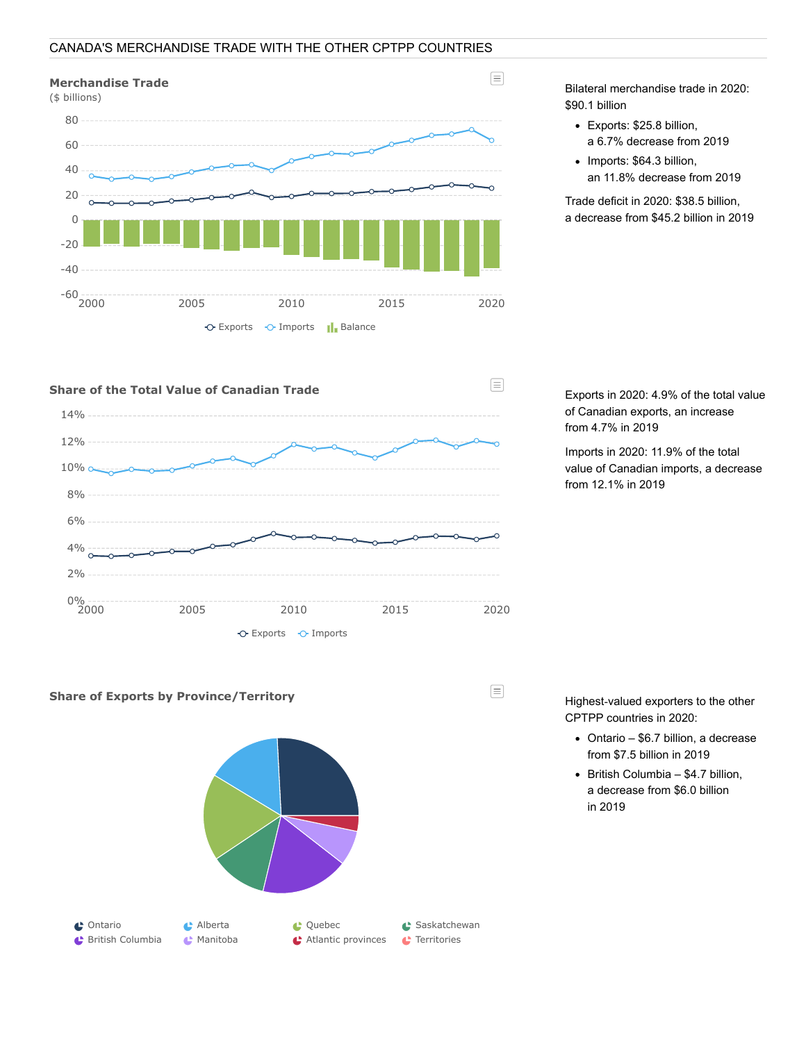# CANADA'S MERCHANDISE TRADE WITH THE OTHER CPTPP COUNTRIES

# **Merchandise Trade**



Bilateral merchandise trade in 2020: \$90.1 billion

 $\equiv$ 

- Exports: \$25.8 billion, a 6.7% decrease from 2019
- Imports: \$64.3 billion, an 11.8% decrease from 2019

Trade deficit in 2020: \$38.5 billion, a decrease from \$45.2 billion in 2019



Exports in 2020: 4.9% of the total value of Canadian exports, an increase from 4.7% in 2019

Imports in 2020: 11.9% of the total value of Canadian imports, a decrease from 12.1% in 2019



Highest‑valued exporters to the other CPTPP countries in 2020:

- Ontario \$6.7 billion, a decrease from \$7.5 billion in 2019
- $\bullet$  British Columbia \$4.7 billion, a decrease from \$6.0 billion in 2019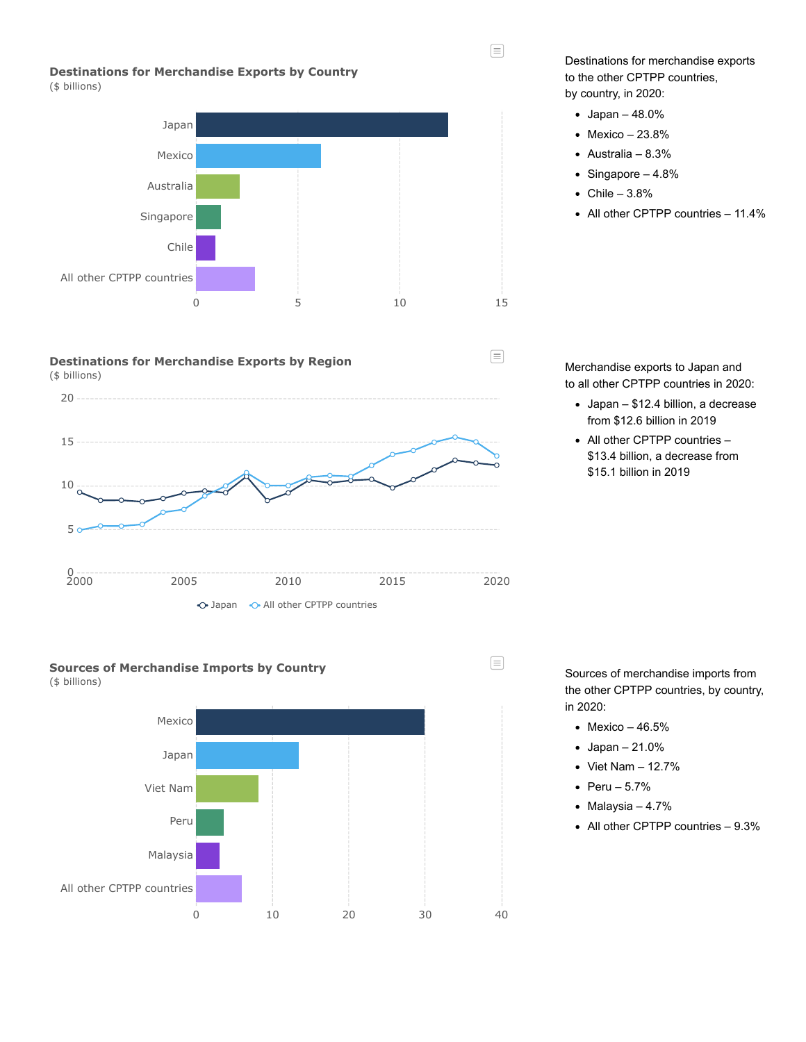$\equiv$ 

 $\equiv$ 

# **Destinations for Merchandise Exports by Country**

(\$ billions)









Destinations for merchandise exports to the other CPTPP countries, by country, in 2020:

- Japan 48.0%
- $\bullet$  Mexico 23.8%
- Australia 8.3%
- $\bullet$  Singapore  $-4.8\%$
- $\bullet$  Chile 3.8%
- All other CPTPP countries 11.4%

Merchandise exports to Japan and to all other CPTPP countries in 2020:

- Japan \$12.4 billion, a decrease from \$12.6 billion in 2019
- All other CPTPP countries \$13.4 billion, a decrease from \$15.1 billion in 2019

Sources of merchandise imports from the other CPTPP countries, by country, in 2020:

- $\bullet$  Mexico 46.5%
- $\bullet$  Japan 21.0%
- $\bullet$  Viet Nam  $-$  12.7%
- Peru  $5.7%$
- $\bullet$  Malaysia 4.7%
- All other CPTPP countries 9.3%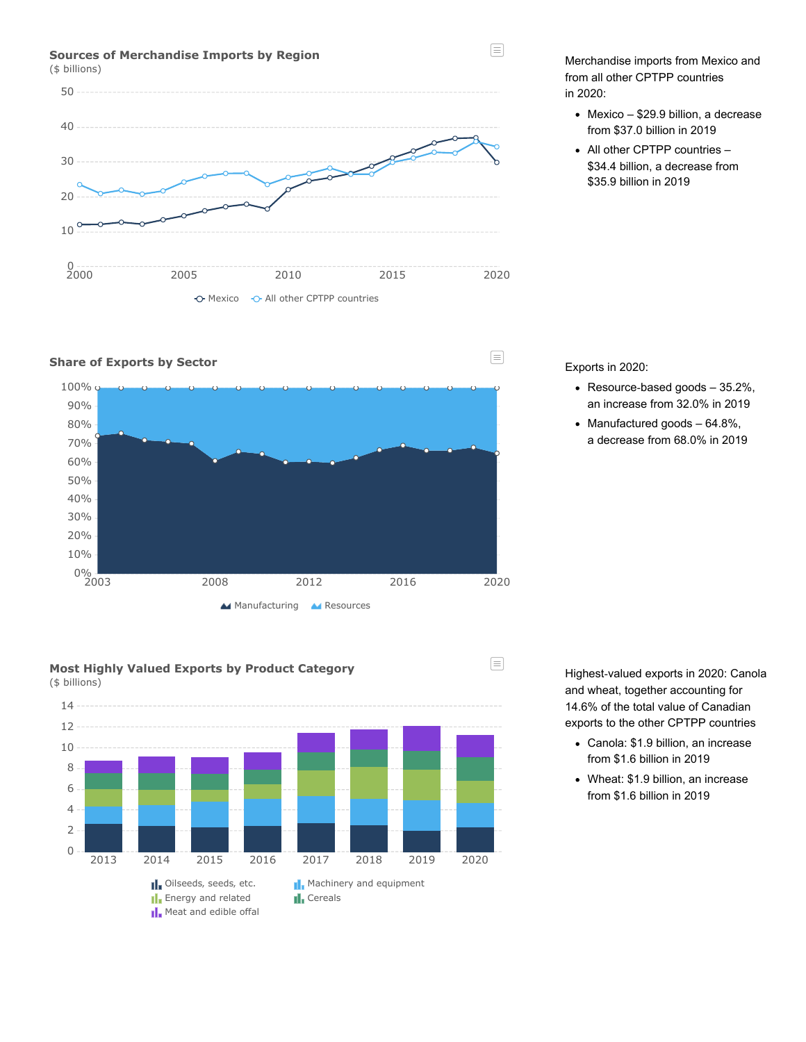### **Sources of Merchandise Imports by Region**

(\$ billions)



## **Share of Exports by Sector**







Merchandise imports from Mexico and from all other CPTPP countries in 2020:

 $\equiv$ 

 $\equiv$ 

 $\equiv$ 

- Mexico \$29.9 billion, a decrease from \$37.0 billion in 2019
- All other CPTPP countries -\$34.4 billion, a decrease from \$35.9 billion in 2019

Exports in 2020:

- Resource-based goods 35.2%, an increase from 32.0% in 2019
- $\bullet$  Manufactured goods  $-64.8\%$ , a decrease from 68.0% in 2019

Highest‑valued exports in 2020: Canola and wheat, together accounting for 14.6% of the total value of Canadian exports to the other CPTPP countries

- Canola: \$1.9 billion, an increase from \$1.6 billion in 2019
- Wheat: \$1.9 billion, an increase from \$1.6 billion in 2019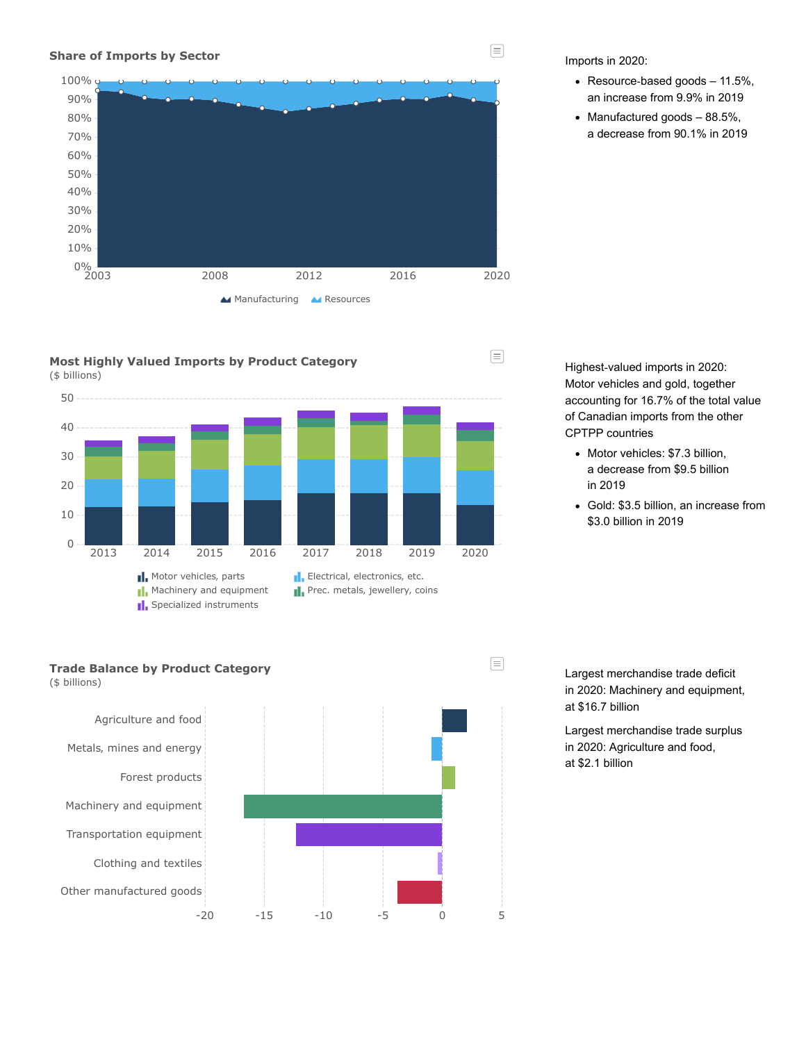#### **Share of Imports by Sector**







Imports in 2020:

- Resource-based goods 11.5%, an increase from 9.9% in 2019
- $\bullet$  Manufactured goods  $-88.5\%$ , a decrease from 90.1% in 2019

Highest-valued imports in 2020: Motor vehicles and gold, together accounting for 16.7% of the total value of Canadian imports from the other CPTPP countries

- Motor vehicles: \$7.3 billion, a decrease from \$9.5 billion in 2019
- Gold: \$3.5 billion, an increase from \$3.0 billion in 2019

# **Trade Balance by Product Category**

(\$ billions)



Largest merchandise trade deficit in 2020: Machinery and equipment, at \$16.7 billion

Largest merchandise trade surplus in 2020: Agriculture and food, at \$2.1 billion

 $\equiv$ 

 $\equiv$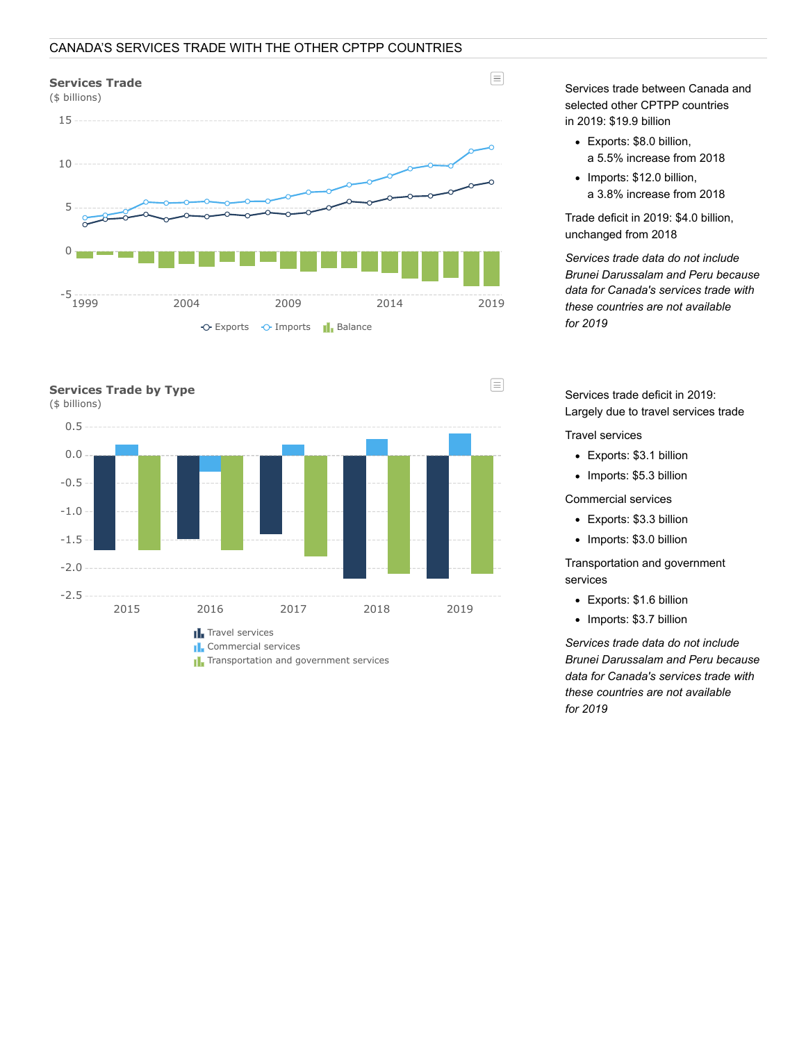# CANADA'S SERVICES TRADE WITH THE OTHER CPTPP COUNTRIES





**T**. Transportation and government services

Services trade between Canada and selected other CPTPP countries in 2019: \$19.9 billion

- Exports: \$8.0 billion, a 5.5% increase from 2018
- Imports: \$12.0 billion, a 3.8% increase from 2018

Trade deficit in 2019: \$4.0 billion, unchanged from 2018

*Services trade data do not include Brunei Darussalam and Peru because data for Canada's services trade with these countries are not available for 2019*

Services trade deficit in 2019: Largely due to travel services trade

Travel services

- Exports: \$3.1 billion
- Imports: \$5.3 billion

Commercial services

- Exports: \$3.3 billion
- Imports: \$3.0 billion

Transportation and government services

- Exports: \$1.6 billion
- Imports: \$3.7 billion

*Services trade data do not include Brunei Darussalam and Peru because data for Canada's services trade with these countries are not available for 2019*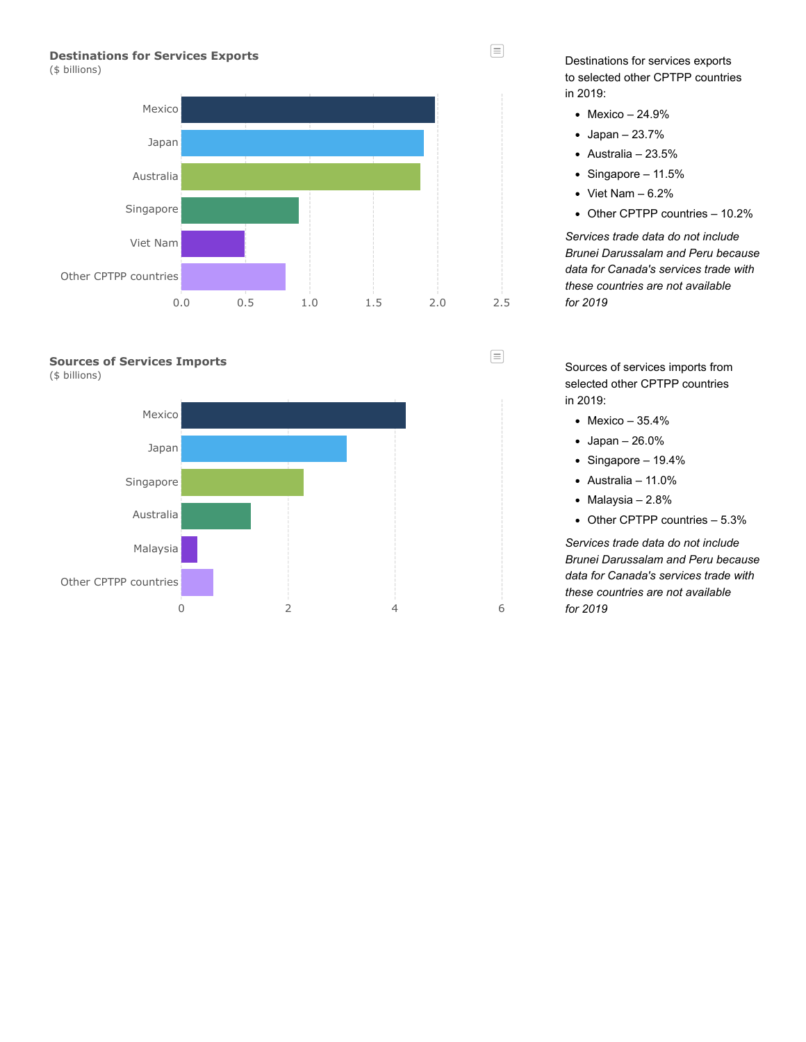# **Destinations for Services Exports**

(\$ billions)



## **Sources of Services Imports**

(\$ billions)



Destinations for services exports to selected other CPTPP countries in 2019:

- Mexico 24.9%
- $\bullet$  Japan 23.7%
- $\bullet$  Australia 23.5%
- $\bullet$  Singapore 11.5%
- $\bullet\text{ Viet Nam} 6.2\%$
- Other CPTPP countries 10.2%

*Services trade data do not include Brunei Darussalam and Peru because data for Canada's services trade with these countries are not available for 2019*

Sources of services imports from selected other CPTPP countries in 2019:

- $\bullet$  Mexico 35.4%
- Japan 26.0%
- $\bullet$  Singapore 19.4%
- $\bullet$  Australia 11.0%
- $\bullet$  Malaysia 2.8%
- Other CPTPP countries 5.3%

*Services trade data do not include Brunei Darussalam and Peru because data for Canada's services trade with these countries are not available for 2019*



目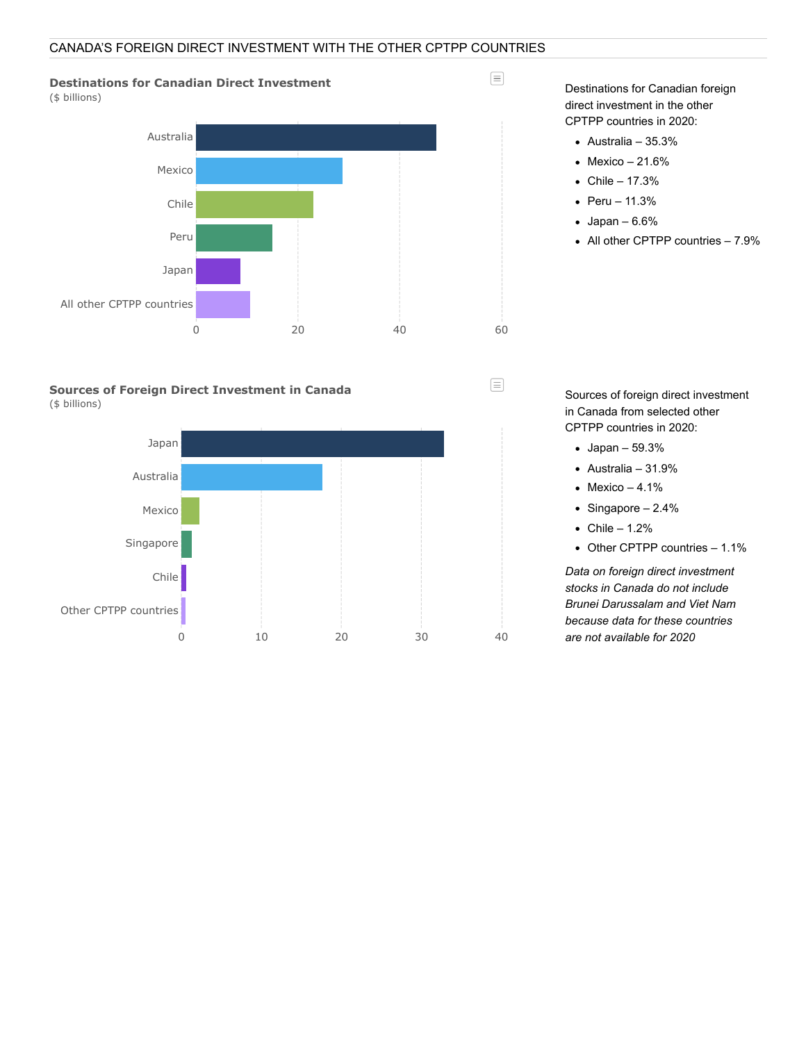# CANADA'S FOREIGN DIRECT INVESTMENT WITH THE OTHER CPTPP COUNTRIES



(\$ billions)



**Sources of Foreign Direct Investment in Canada** (\$ billions)



Destinations for Canadian foreign direct investment in the other CPTPP countries in 2020:

Australia – 35.3%

 $\equiv$ 

 $\equiv$ 

- $\bullet$  Mexico 21.6%
- $\bullet$  Chile 17.3%
- $\bullet$  Peru 11.3%
- $\bullet$  Japan 6.6%
- All other CPTPP countries 7.9%

Sources of foreign direct investment in Canada from selected other CPTPP countries in 2020:

- Japan 59.3%
- $\bullet$  Australia 31.9%
- $\bullet$  Mexico 4.1%
- $\bullet$  Singapore 2.4%
- $\bullet$  Chile 1.2%
- Other CPTPP countries 1.1%

*Data on foreign direct investment stocks in Canada do not include Brunei Darussalam and Viet Nam because data for these countries are not available for 2020*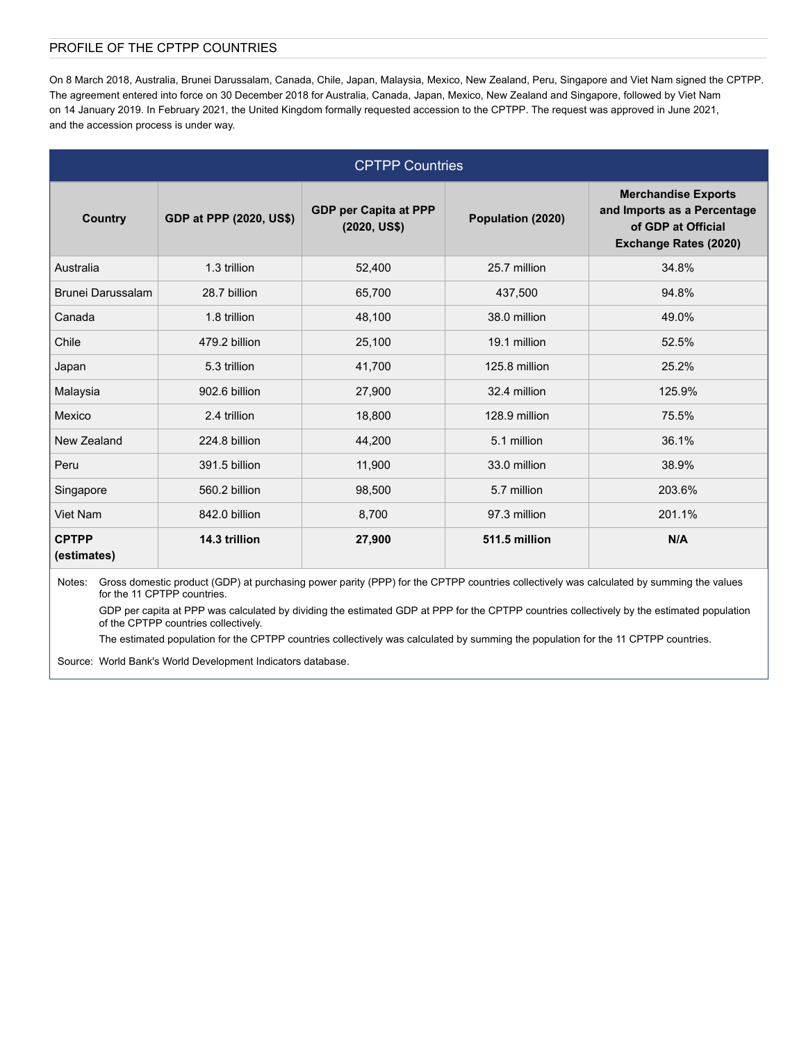# PROFILE OF THE CPTPP COUNTRIES

On 8 March 2018, Australia, Brunei Darussalam, Canada, Chile, Japan, Malaysia, Mexico, New Zealand, Peru, Singapore and Viet Nam signed the CPTPP. The agreement entered into force on 30 December 2018 for Australia, Canada, Japan, Mexico, New Zealand and Singapore, followed by Viet Nam on 14 January 2019. In February 2021, the United Kingdom formally requested accession to the CPTPP. The request was approved in June 2021, and the accession process is under way.

| <b>CPTPP Countries</b>      |                         |                                       |                   |                                                                                                          |
|-----------------------------|-------------------------|---------------------------------------|-------------------|----------------------------------------------------------------------------------------------------------|
| <b>Country</b>              | GDP at PPP (2020, US\$) | GDP per Capita at PPP<br>(2020, US\$) | Population (2020) | <b>Merchandise Exports</b><br>and Imports as a Percentage<br>of GDP at Official<br>Exchange Rates (2020) |
| Australia                   | 1.3 trillion            | 52,400                                | 25.7 million      | 34.8%                                                                                                    |
| Brunei Darussalam           | 28.7 billion            | 65,700                                | 437,500           | 94.8%                                                                                                    |
| Canada                      | 1.8 trillion            | 48,100                                | 38.0 million      | 49.0%                                                                                                    |
| Chile                       | 479.2 billion           | 25,100                                | 19.1 million      | 52.5%                                                                                                    |
| Japan                       | 5.3 trillion            | 41,700                                | 125.8 million     | 25.2%                                                                                                    |
| Malaysia                    | 902.6 billion           | 27,900                                | 32.4 million      | 125.9%                                                                                                   |
| Mexico                      | 2.4 trillion            | 18,800                                | 128.9 million     | 75.5%                                                                                                    |
| New Zealand                 | 224.8 billion           | 44,200                                | 5.1 million       | 36.1%                                                                                                    |
| Peru                        | 391.5 billion           | 11,900                                | 33.0 million      | 38.9%                                                                                                    |
| Singapore                   | 560.2 billion           | 98,500                                | 5.7 million       | 203.6%                                                                                                   |
| Viet Nam                    | 842.0 billion           | 8,700                                 | 97.3 million      | 201.1%                                                                                                   |
| <b>CPTPP</b><br>(estimates) | 14.3 trillion           | 27,900                                | 511.5 million     | N/A                                                                                                      |

Notes: Gross domestic product (GDP) at purchasing power parity (PPP) for the CPTPP countries collectively was calculated by summing the values for the 11 CPTPP countries.

GDP per capita at PPP was calculated by dividing the estimated GDP at PPP for the CPTPP countries collectively by the estimated population of the CPTPP countries collectively.

The estimated population for the CPTPP countries collectively was calculated by summing the population for the 11 CPTPP countries.

Source: World Bank's World Development Indicators database.